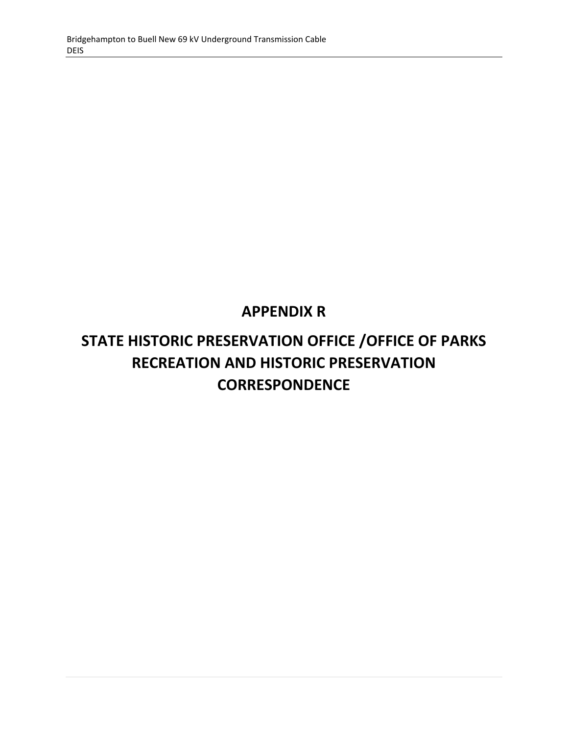## **APPENDIX R**

# **STATE HISTORIC PRESERVATION OFFICE /OFFICE OF PARKS RECREATION AND HISTORIC PRESERVATION CORRESPONDENCE**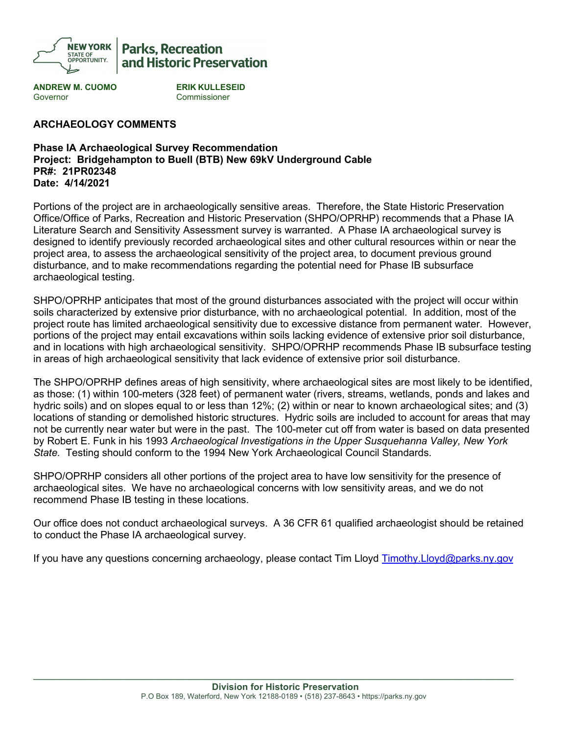

## **Parks, Recreation** and Historic Preservation

**ANDREW M. CUOMO ERIK KULLESEID** Governor Commissioner

### **ARCHAEOLOGY COMMENTS**

#### **Phase IA Archaeological Survey Recommendation Project: Bridgehampton to Buell (BTB) New 69kV Underground Cable PR#: 21PR02348 Date: 4/14/2021**

Portions of the project are in archaeologically sensitive areas. Therefore, the State Historic Preservation Office/Office of Parks, Recreation and Historic Preservation (SHPO/OPRHP) recommends that a Phase IA Literature Search and Sensitivity Assessment survey is warranted. A Phase IA archaeological survey is designed to identify previously recorded archaeological sites and other cultural resources within or near the project area, to assess the archaeological sensitivity of the project area, to document previous ground disturbance, and to make recommendations regarding the potential need for Phase IB subsurface archaeological testing.

SHPO/OPRHP anticipates that most of the ground disturbances associated with the project will occur within soils characterized by extensive prior disturbance, with no archaeological potential. In addition, most of the project route has limited archaeological sensitivity due to excessive distance from permanent water. However, portions of the project may entail excavations within soils lacking evidence of extensive prior soil disturbance, and in locations with high archaeological sensitivity. SHPO/OPRHP recommends Phase IB subsurface testing in areas of high archaeological sensitivity that lack evidence of extensive prior soil disturbance.

The SHPO/OPRHP defines areas of high sensitivity, where archaeological sites are most likely to be identified, as those: (1) within 100-meters (328 feet) of permanent water (rivers, streams, wetlands, ponds and lakes and hydric soils) and on slopes equal to or less than 12%; (2) within or near to known archaeological sites; and (3) locations of standing or demolished historic structures. Hydric soils are included to account for areas that may not be currently near water but were in the past. The 100-meter cut off from water is based on data presented by Robert E. Funk in his 1993 *Archaeological Investigations in the Upper Susquehanna Valley, New York State.* Testing should conform to the 1994 New York Archaeological Council Standards.

SHPO/OPRHP considers all other portions of the project area to have low sensitivity for the presence of archaeological sites. We have no archaeological concerns with low sensitivity areas, and we do not recommend Phase IB testing in these locations.

Our office does not conduct archaeological surveys. A 36 CFR 61 qualified archaeologist should be retained to conduct the Phase IA archaeological survey.

If you have any questions concerning archaeology, please contact Tim Lloyd [Timothy.Lloyd@parks.ny.gov](mailto:Timothy.Lloyd@parks.ny.gov)